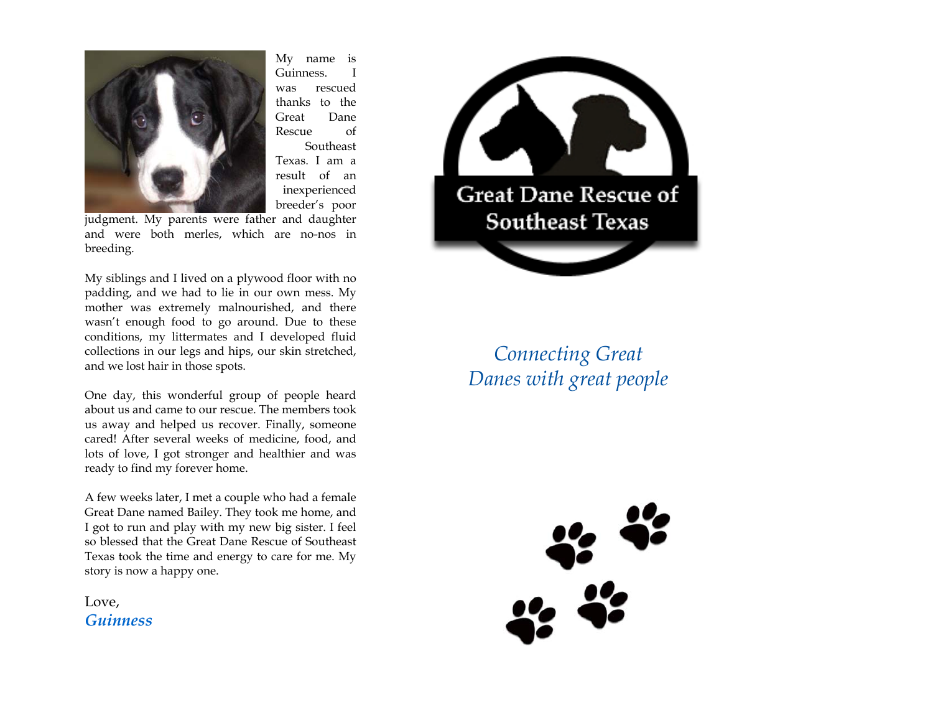

My name is Guinness. I was rescued thanks to the Great Dane Rescue of Southeast Texas. I am a result of an inexperienced breeder's poor

judgment. My parents were father and daughter and were both merles, which are no-nos in breeding.

My siblings and I lived on a plywood floor with no padding, and we had to lie in our own mess. My mother was extremely malnourished, and there wasn't enough food to go around. Due to these conditions, my littermates and I developed fluid collections in our legs and hips, our skin stretched, and we lost hair in those spots.

One day, this wonderful group of people heard about us and came to our rescue. The members took us away and helped us recover. Finally, someone cared! After several weeks of medicine, food, and lots of love, I got stronger and healthier and was ready to find my forever home.

A few weeks later, I met a couple who had a female Great Dane named Bailey. They took me home, and I got to run and play with my new big sister. I feel so blessed that the Great Dane Rescue of Southeast Texas took the time and energy to care for me. My story is now a happy one.

Love, *Guinness* 



*Connecting Great Danes with great people*